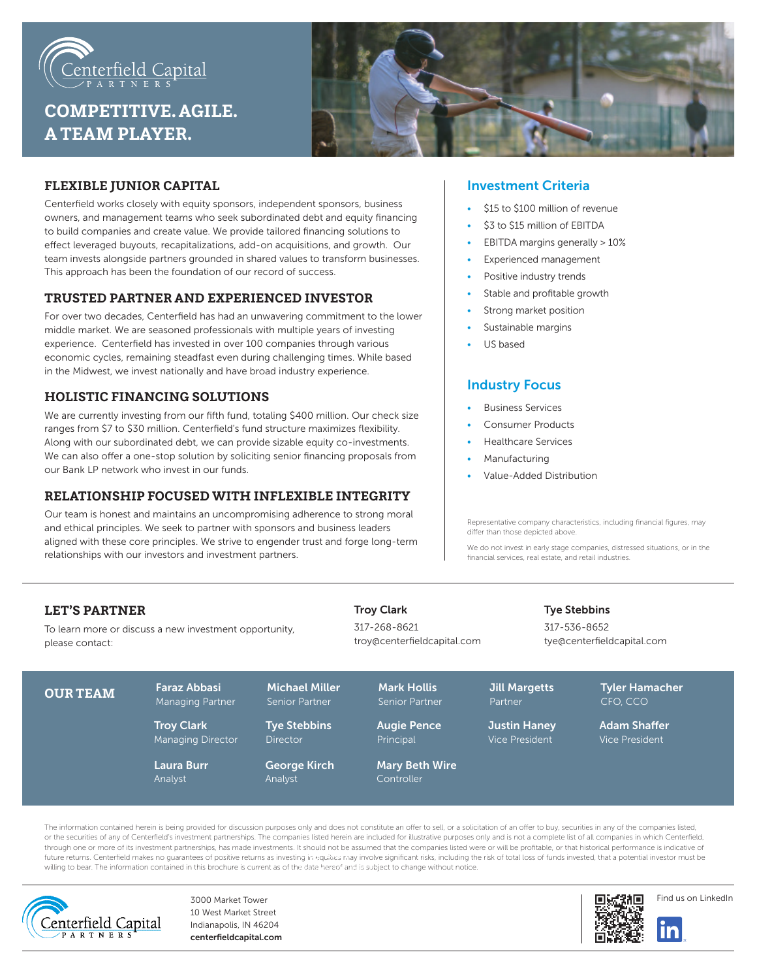

# **COMPETITIVE. AGILE. A TEAM PLAYER.**



## **FLEXIBLE JUNIOR CAPITAL**

Centerfield works closely with equity sponsors, independent sponsors, business owners, and management teams who seek subordinated debt and equity financing to build companies and create value. We provide tailored financing solutions to effect leveraged buyouts, recapitalizations, add-on acquisitions, and growth. Our team invests alongside partners grounded in shared values to transform businesses. This approach has been the foundation of our record of success.

#### **TRUSTED PARTNER AND EXPERIENCED INVESTOR**

For over two decades, Centerfield has had an unwavering commitment to the lower middle market. We are seasoned professionals with multiple years of investing experience. Centerfield has invested in over 100 companies through various economic cycles, remaining steadfast even during challenging times. While based in the Midwest, we invest nationally and have broad industry experience.

## **HOLISTIC FINANCING SOLUTIONS**

We are currently investing from our fifth fund, totaling \$400 million. Our check size ranges from \$7 to \$30 million. Centerfield's fund structure maximizes flexibility. Along with our subordinated debt, we can provide sizable equity co-investments. We can also offer a one-stop solution by soliciting senior financing proposals from our Bank LP network who invest in our funds.

#### **RELATIONSHIP FOCUSED WITH INFLEXIBLE INTEGRITY**

Our team is honest and maintains an uncompromising adherence to strong moral and ethical principles. We seek to partner with sponsors and business leaders aligned with these core principles. We strive to engender trust and forge long-term relationships with our investors and investment partners.

#### Investment Criteria

- \$15 to \$100 million of revenue
- \$3 to \$15 million of EBITDA
- EBITDA margins generally > 10%
- Experienced management
- Positive industry trends
- Stable and profitable growth
- Strong market position
- Sustainable margins
- US based

## Industry Focus

- Business Services
- Consumer Products
- Healthcare Services
- **Manufacturing**
- Value-Added Distribution

Representative company characteristics, including financial figures, may differ than those depicted above.

We do not invest in early stage companies, distressed situations, or in the financial services, real estate, and retail industries.

#### **LET'S PARTNER**

To learn more or discuss a new investment opportunity, please contact:

317-268-8621 troy@centerfieldcapital.com

#### Tye Stebbins

317-536-8652 tye@centerfieldcapital.com

| <b>OUR TEAM</b> | <b>Faraz Abbasi</b><br><b>Managing Partner</b> | <b>Michael Miller</b><br>Senior Partner | <b>Mark Hollis</b><br>Senior Partner | <b>Jill Margetts</b><br>Partner       | <b>Tyler Hamacher</b><br>CFO. CCO     |  |
|-----------------|------------------------------------------------|-----------------------------------------|--------------------------------------|---------------------------------------|---------------------------------------|--|
|                 | <b>Troy Clark</b><br><b>Managing Director</b>  | <b>Tye Stebbins</b><br><b>Director</b>  | <b>Augie Pence</b><br>Principal      | <b>Justin Haney</b><br>Vice President | <b>Adam Shaffer</b><br>Vice President |  |
|                 | <b>Laura Burr</b><br>Analyst                   | <b>George Kirch</b><br>Analyst          | <b>Mary Beth Wire</b><br>Controller  |                                       |                                       |  |

Troy Clark

The information contained herein is being provided for discussion purposes only and does not constitute an offer to sell, or a solicitation of an offer to buy, securities in any of the companies listed, or the securities of any of Centerfield's investment partnerships. The companies listed herein are included for illustrative purposes only and is not a complete list of all companies in which Centerfield, through one or more of its investment partnerships, has made investments. It should not be assumed that the companies listed were or will be profitable, or that historical performance is indicative of anough one of the mountenarm pure returns as investing in equities may involve significant risks, including the risk of total loss of funds invested, that a potential investor must be funds investor must be funds invested, willing to bear. The information contained in this brochure is current as of the date hereof and is subject to change without notice.



3000 Market Tower 10 West Market Street Indianapolis, IN 46204 centerfieldcapital.com





linl